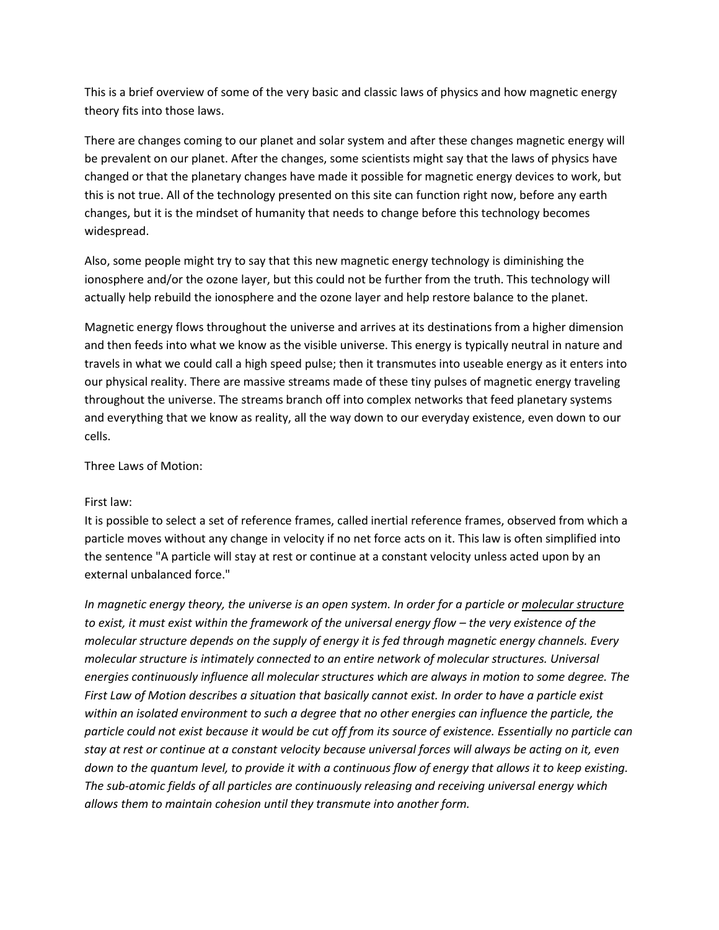This is a brief overview of some of the very basic and classic laws of physics and how magnetic energy theory fits into those laws.

There are changes coming to our planet and solar system and after these changes magnetic energy will be prevalent on our planet. After the changes, some scientists might say that the laws of physics have changed or that the planetary changes have made it possible for magnetic energy devices to work, but this is not true. All of the technology presented on this site can function right now, before any earth changes, but it is the mindset of humanity that needs to change before this technology becomes widespread.

Also, some people might try to say that this new magnetic energy technology is diminishing the ionosphere and/or the ozone layer, but this could not be further from the truth. This technology will actually help rebuild the ionosphere and the ozone layer and help restore balance to the planet.

Magnetic energy flows throughout the universe and arrives at its destinations from a higher dimension and then feeds into what we know as the visible universe. This energy is typically neutral in nature and travels in what we could call a high speed pulse; then it transmutes into useable energy as it enters into our physical reality. There are massive streams made of these tiny pulses of magnetic energy traveling throughout the universe. The streams branch off into complex networks that feed planetary systems and everything that we know as reality, all the way down to our everyday existence, even down to our cells.

Three Laws of Motion:

## First law:

It is possible to select a set of reference frames, called inertial reference frames, observed from which a particle moves without any change in velocity if no net force acts on it. This law is often simplified into the sentence "A particle will stay at rest or continue at a constant velocity unless acted upon by an external unbalanced force."

*In magnetic energy theory, the universe is an open system. In order for a particle or molecular structure to exist, it must exist within the framework of the universal energy flow – the very existence of the molecular structure depends on the supply of energy it is fed through magnetic energy channels. Every molecular structure is intimately connected to an entire network of molecular structures. Universal energies continuously influence all molecular structures which are always in motion to some degree. The First Law of Motion describes a situation that basically cannot exist. In order to have a particle exist within an isolated environment to such a degree that no other energies can influence the particle, the particle could not exist because it would be cut off from its source of existence. Essentially no particle can stay at rest or continue at a constant velocity because universal forces will always be acting on it, even down to the quantum level, to provide it with a continuous flow of energy that allows it to keep existing. The sub-atomic fields of all particles are continuously releasing and receiving universal energy which allows them to maintain cohesion until they transmute into another form.*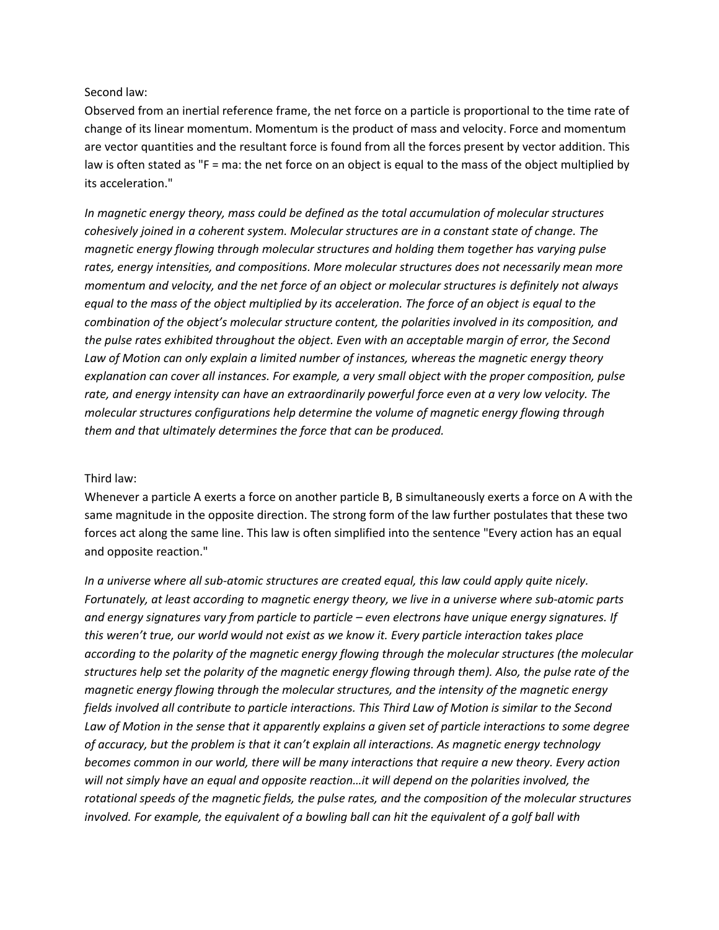### Second law:

Observed from an inertial reference frame, the net force on a particle is proportional to the time rate of change of its linear momentum. Momentum is the product of mass and velocity. Force and momentum are vector quantities and the resultant force is found from all the forces present by vector addition. This law is often stated as "F = ma: the net force on an object is equal to the mass of the object multiplied by its acceleration."

*In magnetic energy theory, mass could be defined as the total accumulation of molecular structures cohesively joined in a coherent system. Molecular structures are in a constant state of change. The magnetic energy flowing through molecular structures and holding them together has varying pulse rates, energy intensities, and compositions. More molecular structures does not necessarily mean more momentum and velocity, and the net force of an object or molecular structures is definitely not always equal to the mass of the object multiplied by its acceleration. The force of an object is equal to the combination of the object's molecular structure content, the polarities involved in its composition, and the pulse rates exhibited throughout the object. Even with an acceptable margin of error, the Second Law of Motion can only explain a limited number of instances, whereas the magnetic energy theory explanation can cover all instances. For example, a very small object with the proper composition, pulse rate, and energy intensity can have an extraordinarily powerful force even at a very low velocity. The molecular structures configurations help determine the volume of magnetic energy flowing through them and that ultimately determines the force that can be produced.*

#### Third law:

Whenever a particle A exerts a force on another particle B, B simultaneously exerts a force on A with the same magnitude in the opposite direction. The strong form of the law further postulates that these two forces act along the same line. This law is often simplified into the sentence "Every action has an equal and opposite reaction."

*In a universe where all sub-atomic structures are created equal, this law could apply quite nicely. Fortunately, at least according to magnetic energy theory, we live in a universe where sub-atomic parts and energy signatures vary from particle to particle – even electrons have unique energy signatures. If this weren't true, our world would not exist as we know it. Every particle interaction takes place according to the polarity of the magnetic energy flowing through the molecular structures (the molecular structures help set the polarity of the magnetic energy flowing through them). Also, the pulse rate of the magnetic energy flowing through the molecular structures, and the intensity of the magnetic energy fields involved all contribute to particle interactions. This Third Law of Motion is similar to the Second Law of Motion in the sense that it apparently explains a given set of particle interactions to some degree of accuracy, but the problem is that it can't explain all interactions. As magnetic energy technology becomes common in our world, there will be many interactions that require a new theory. Every action will not simply have an equal and opposite reaction…it will depend on the polarities involved, the rotational speeds of the magnetic fields, the pulse rates, and the composition of the molecular structures involved. For example, the equivalent of a bowling ball can hit the equivalent of a golf ball with*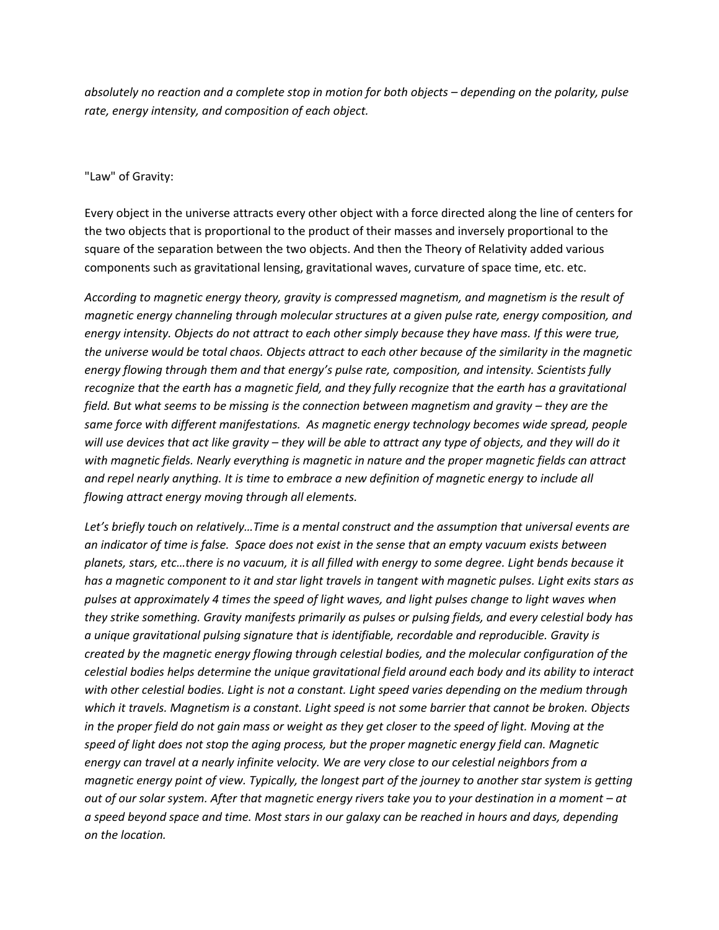*absolutely no reaction and a complete stop in motion for both objects – depending on the polarity, pulse rate, energy intensity, and composition of each object.*

# "Law" of Gravity:

Every object in the universe attracts every other object with a force directed along the line of centers for the two objects that is proportional to the product of their masses and inversely proportional to the square of the separation between the two objects. And then the Theory of Relativity added various components such as gravitational lensing, gravitational waves, curvature of space time, etc. etc.

*According to magnetic energy theory, gravity is compressed magnetism, and magnetism is the result of magnetic energy channeling through molecular structures at a given pulse rate, energy composition, and energy intensity. Objects do not attract to each other simply because they have mass. If this were true, the universe would be total chaos. Objects attract to each other because of the similarity in the magnetic energy flowing through them and that energy's pulse rate, composition, and intensity. Scientists fully recognize that the earth has a magnetic field, and they fully recognize that the earth has a gravitational field. But what seems to be missing is the connection between magnetism and gravity – they are the same force with different manifestations. As magnetic energy technology becomes wide spread, people will use devices that act like gravity – they will be able to attract any type of objects, and they will do it with magnetic fields. Nearly everything is magnetic in nature and the proper magnetic fields can attract and repel nearly anything. It is time to embrace a new definition of magnetic energy to include all flowing attract energy moving through all elements.*

*Let's briefly touch on relatively…Time is a mental construct and the assumption that universal events are an indicator of time is false. Space does not exist in the sense that an empty vacuum exists between planets, stars, etc…there is no vacuum, it is all filled with energy to some degree. Light bends because it has a magnetic component to it and star light travels in tangent with magnetic pulses. Light exits stars as pulses at approximately 4 times the speed of light waves, and light pulses change to light waves when they strike something. Gravity manifests primarily as pulses or pulsing fields, and every celestial body has a unique gravitational pulsing signature that is identifiable, recordable and reproducible. Gravity is created by the magnetic energy flowing through celestial bodies, and the molecular configuration of the celestial bodies helps determine the unique gravitational field around each body and its ability to interact with other celestial bodies. Light is not a constant. Light speed varies depending on the medium through which it travels. Magnetism is a constant. Light speed is not some barrier that cannot be broken. Objects in the proper field do not gain mass or weight as they get closer to the speed of light. Moving at the speed of light does not stop the aging process, but the proper magnetic energy field can. Magnetic energy can travel at a nearly infinite velocity. We are very close to our celestial neighbors from a magnetic energy point of view. Typically, the longest part of the journey to another star system is getting out of our solar system. After that magnetic energy rivers take you to your destination in a moment – at a speed beyond space and time. Most stars in our galaxy can be reached in hours and days, depending on the location.*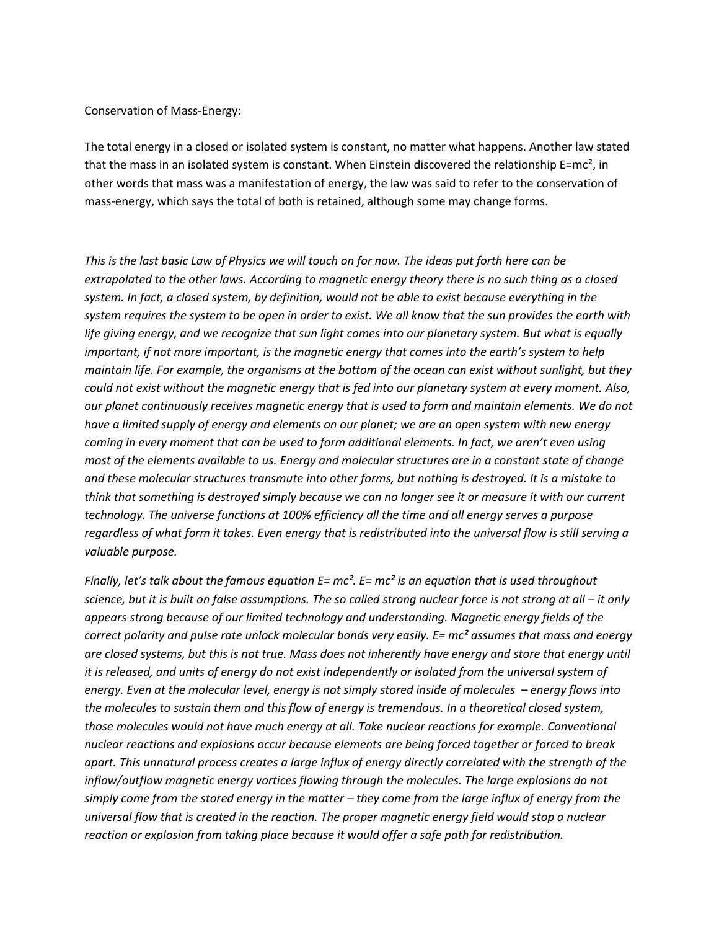#### Conservation of Mass-Energy:

The total energy in a closed or isolated system is constant, no matter what happens. Another law stated that the mass in an isolated system is constant. When Einstein discovered the relationship E=mc<sup>2</sup>, in other words that mass was a manifestation of energy, the law was said to refer to the conservation of mass-energy, which says the total of both is retained, although some may change forms.

*This is the last basic Law of Physics we will touch on for now. The ideas put forth here can be extrapolated to the other laws. According to magnetic energy theory there is no such thing as a closed system. In fact, a closed system, by definition, would not be able to exist because everything in the system requires the system to be open in order to exist. We all know that the sun provides the earth with life giving energy, and we recognize that sun light comes into our planetary system. But what is equally important, if not more important, is the magnetic energy that comes into the earth's system to help maintain life. For example, the organisms at the bottom of the ocean can exist without sunlight, but they could not exist without the magnetic energy that is fed into our planetary system at every moment. Also, our planet continuously receives magnetic energy that is used to form and maintain elements. We do not have a limited supply of energy and elements on our planet; we are an open system with new energy coming in every moment that can be used to form additional elements. In fact, we aren't even using most of the elements available to us. Energy and molecular structures are in a constant state of change and these molecular structures transmute into other forms, but nothing is destroyed. It is a mistake to think that something is destroyed simply because we can no longer see it or measure it with our current technology. The universe functions at 100% efficiency all the time and all energy serves a purpose regardless of what form it takes. Even energy that is redistributed into the universal flow is still serving a valuable purpose.*

*Finally, let's talk about the famous equation E= mc². E= mc² is an equation that is used throughout science, but it is built on false assumptions. The so called strong nuclear force is not strong at all – it only appears strong because of our limited technology and understanding. Magnetic energy fields of the correct polarity and pulse rate unlock molecular bonds very easily. E= mc² assumes that mass and energy are closed systems, but this is not true. Mass does not inherently have energy and store that energy until it is released, and units of energy do not exist independently or isolated from the universal system of energy. Even at the molecular level, energy is not simply stored inside of molecules – energy flows into the molecules to sustain them and this flow of energy is tremendous. In a theoretical closed system, those molecules would not have much energy at all. Take nuclear reactions for example. Conventional nuclear reactions and explosions occur because elements are being forced together or forced to break apart. This unnatural process creates a large influx of energy directly correlated with the strength of the inflow/outflow magnetic energy vortices flowing through the molecules. The large explosions do not simply come from the stored energy in the matter – they come from the large influx of energy from the universal flow that is created in the reaction. The proper magnetic energy field would stop a nuclear reaction or explosion from taking place because it would offer a safe path for redistribution.*